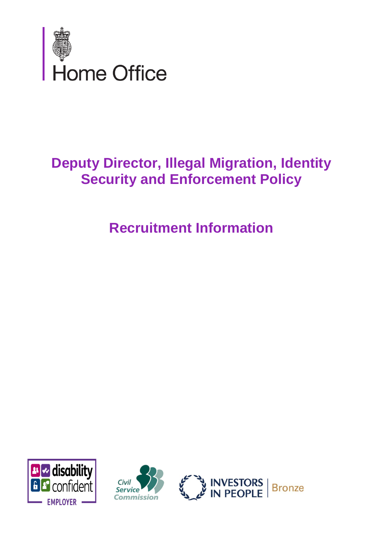

## **Deputy Director, Illegal Migration, Identity Security and Enforcement Policy**

# **Recruitment Information**





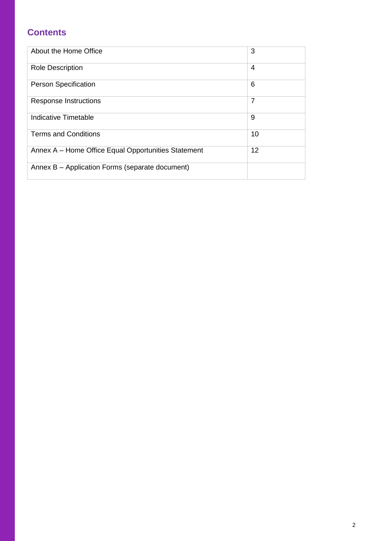## **Contents**

| About the Home Office                               | 3              |
|-----------------------------------------------------|----------------|
| <b>Role Description</b>                             | 4              |
| <b>Person Specification</b>                         | 6              |
| <b>Response Instructions</b>                        | $\overline{7}$ |
| Indicative Timetable                                | 9              |
| <b>Terms and Conditions</b>                         | 10             |
| Annex A – Home Office Equal Opportunities Statement | 12             |
| Annex B – Application Forms (separate document)     |                |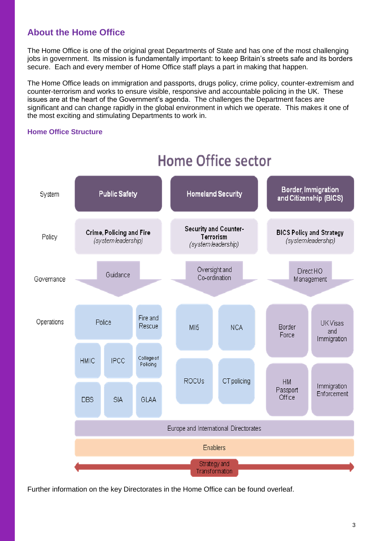## **About the Home Office**

The Home Office is one of the original great Departments of State and has one of the most challenging jobs in government. Its mission is fundamentally important: to keep Britain's streets safe and its borders secure. Each and every member of Home Office staff plays a part in making that happen.

The Home Office leads on immigration and passports, drugs policy, crime policy, counter-extremism and counter-terrorism and works to ensure visible, responsive and accountable policing in the UK. These issues are at the heart of the Government's agenda. The challenges the Department faces are significant and can change rapidly in the global environment in which we operate. This makes it one of the most exciting and stimulating Departments to work in.

### **Home Office Structure**



## **Home Office sector**

Further information on the key Directorates in the Home Office can be found overleaf.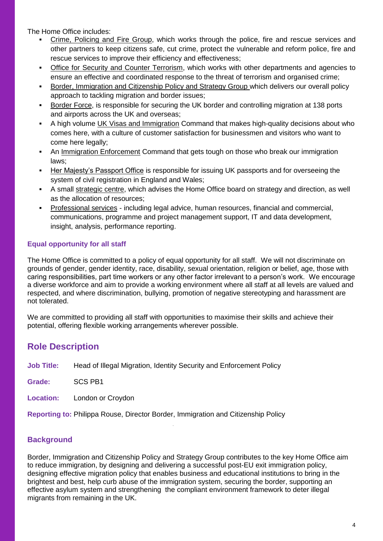The Home Office includes:

- Crime, Policing and Fire Group, which works through the police, fire and rescue services and other partners to keep citizens safe, cut crime, protect the vulnerable and reform police, fire and rescue services to improve their efficiency and effectiveness;
- **Office for Security and Counter Terrorism, which works with other departments and agencies to** ensure an effective and coordinated response to the threat of terrorism and organised crime;
- Border, Immigration and Citizenship Policy and Strategy Group which delivers our overall policy approach to tackling migration and border issues;
- Border Force, is responsible for securing the UK border and controlling migration at 138 ports and airports across the UK and overseas;
- A high volume UK Visas and Immigration Command that makes high-quality decisions about who comes here, with a culture of customer satisfaction for businessmen and visitors who want to come here legally;
- An Immigration Enforcement Command that gets tough on those who break our immigration laws;
- Her Majesty's Passport Office is responsible for issuing UK passports and for overseeing the system of civil registration in England and Wales:
- A small strategic centre, which advises the Home Office board on strategy and direction, as well as the allocation of resources;
- Professional services including legal advice, human resources, financial and commercial, communications, programme and project management support, IT and data development, insight, analysis, performance reporting.

## **Equal opportunity for all staff**

The Home Office is committed to a policy of equal opportunity for all staff. We will not discriminate on grounds of gender, gender identity, race, disability, sexual orientation, religion or belief, age, those with caring responsibilities, part time workers or any other factor irrelevant to a person's work. We encourage a diverse workforce and aim to provide a working environment where all staff at all levels are valued and respected, and where discrimination, bullying, promotion of negative stereotyping and harassment are not tolerated.

We are committed to providing all staff with opportunities to maximise their skills and achieve their potential, offering flexible working arrangements wherever possible.

## **Role Description**

**Job Title:** Head of Illegal Migration, Identity Security and Enforcement Policy

**Grade:** SCS PB1

**Location:** London or Croydon

**Reporting to:** Philippa Rouse, Director Border, Immigration and Citizenship Policy

## **Background**

Border, Immigration and Citizenship Policy and Strategy Group contributes to the key Home Office aim to reduce immigration, by designing and delivering a successful post-EU exit immigration policy, designing effective migration policy that enables business and educational institutions to bring in the brightest and best, help curb abuse of the immigration system, securing the border, supporting an effective asylum system and strengthening the compliant environment framework to deter illegal migrants from remaining in the UK.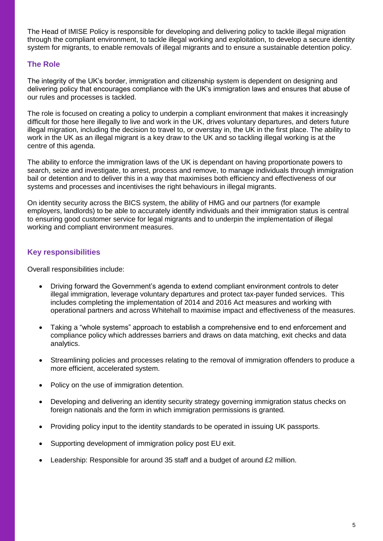The Head of IMISE Policy is responsible for developing and delivering policy to tackle illegal migration through the compliant environment, to tackle illegal working and exploitation, to develop a secure identity system for migrants, to enable removals of illegal migrants and to ensure a sustainable detention policy.

## **The Role**

The integrity of the UK's border, immigration and citizenship system is dependent on designing and delivering policy that encourages compliance with the UK's immigration laws and ensures that abuse of our rules and processes is tackled.

The role is focused on creating a policy to underpin a compliant environment that makes it increasingly difficult for those here illegally to live and work in the UK, drives voluntary departures, and deters future illegal migration, including the decision to travel to, or overstay in, the UK in the first place. The ability to work in the UK as an illegal migrant is a key draw to the UK and so tackling illegal working is at the centre of this agenda.

The ability to enforce the immigration laws of the UK is dependant on having proportionate powers to search, seize and investigate, to arrest, process and remove, to manage individuals through immigration bail or detention and to deliver this in a way that maximises both efficiency and effectiveness of our systems and processes and incentivises the right behaviours in illegal migrants.

On identity security across the BICS system, the ability of HMG and our partners (for example employers, landlords) to be able to accurately identify individuals and their immigration status is central to ensuring good customer service for legal migrants and to underpin the implementation of illegal working and compliant environment measures.

## **Key responsibilities**

Overall responsibilities include:

- Driving forward the Government's agenda to extend compliant environment controls to deter illegal immigration, leverage voluntary departures and protect tax-payer funded services. This includes completing the implementation of 2014 and 2016 Act measures and working with operational partners and across Whitehall to maximise impact and effectiveness of the measures.
- Taking a "whole systems" approach to establish a comprehensive end to end enforcement and compliance policy which addresses barriers and draws on data matching, exit checks and data analytics.
- Streamlining policies and processes relating to the removal of immigration offenders to produce a more efficient, accelerated system.
- Policy on the use of immigration detention.
- Developing and delivering an identity security strategy governing immigration status checks on foreign nationals and the form in which immigration permissions is granted.
- Providing policy input to the identity standards to be operated in issuing UK passports.
- Supporting development of immigration policy post EU exit.
- Leadership: Responsible for around 35 staff and a budget of around £2 million.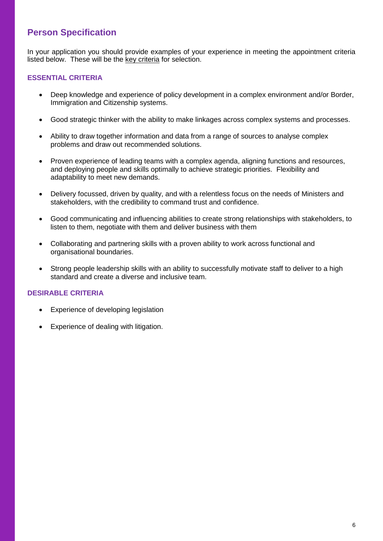## **Person Specification**

In your application you should provide examples of your experience in meeting the appointment criteria listed below. These will be the key criteria for selection.

#### **ESSENTIAL CRITERIA**

- Deep knowledge and experience of policy development in a complex environment and/or Border, Immigration and Citizenship systems.
- Good strategic thinker with the ability to make linkages across complex systems and processes.
- Ability to draw together information and data from a range of sources to analyse complex problems and draw out recommended solutions.
- Proven experience of leading teams with a complex agenda, aligning functions and resources, and deploying people and skills optimally to achieve strategic priorities. Flexibility and adaptability to meet new demands.
- Delivery focussed, driven by quality, and with a relentless focus on the needs of Ministers and stakeholders, with the credibility to command trust and confidence.
- Good communicating and influencing abilities to create strong relationships with stakeholders, to listen to them, negotiate with them and deliver business with them
- Collaborating and partnering skills with a proven ability to work across functional and organisational boundaries.
- Strong people leadership skills with an ability to successfully motivate staff to deliver to a high standard and create a diverse and inclusive team.

## **DESIRABLE CRITERIA**

- Experience of developing legislation
- Experience of dealing with litigation.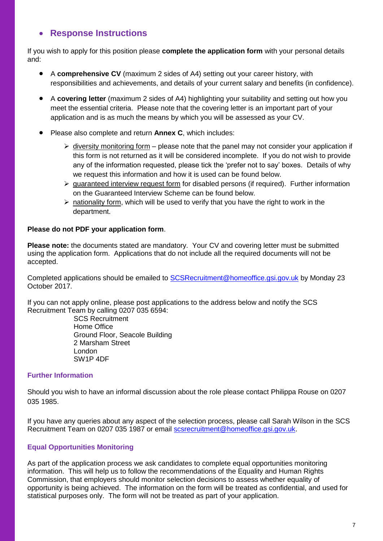## **Response Instructions**

If you wish to apply for this position please **complete the application form** with your personal details and:

- A **comprehensive CV** (maximum 2 sides of A4) setting out your career history, with responsibilities and achievements, and details of your current salary and benefits (in confidence).
- A **covering letter** (maximum 2 sides of A4) highlighting your suitability and setting out how you meet the essential criteria. Please note that the covering letter is an important part of your application and is as much the means by which you will be assessed as your CV.
- Please also complete and return **Annex C**, which includes:
	- $\triangleright$  diversity monitoring form please note that the panel may not consider your application if this form is not returned as it will be considered incomplete. If you do not wish to provide any of the information requested, please tick the 'prefer not to say' boxes. Details of why we request this information and how it is used can be found below.
	- $\triangleright$  quaranteed interview request form for disabled persons (if required). Further information on the Guaranteed Interview Scheme can be found below.
	- $\triangleright$  nationality form, which will be used to verify that you have the right to work in the department.

#### **Please do not PDF your application form**.

**Please note:** the documents stated are mandatory. Your CV and covering letter must be submitted using the application form. Applications that do not include all the required documents will not be accepted.

Completed applications should be emailed to [SCSRecruitment@homeoffice.gsi.gov.uk](mailto:SCSRecruitment@homeoffice.gsi.gov.uk) by Monday 23 October 2017.

If you can not apply online, please post applications to the address below and notify the SCS Recruitment Team by calling 0207 035 6594:

> SCS Recruitment Home Office Ground Floor, Seacole Building 2 Marsham Street London SW1P 4DF

#### **Further Information**

Should you wish to have an informal discussion about the role please contact Philippa Rouse on 0207 035 1985.

If you have any queries about any aspect of the selection process, please call Sarah Wilson in the SCS Recruitment Team on 0207 035 1987 or email [scsrecruitment@homeoffice.gsi.gov.uk.](mailto:scsrecruitment@homeoffice.gsi.gov.uk)

#### **Equal Opportunities Monitoring**

As part of the application process we ask candidates to complete equal opportunities monitoring information. This will help us to follow the recommendations of the Equality and Human Rights Commission, that employers should monitor selection decisions to assess whether equality of opportunity is being achieved. The information on the form will be treated as confidential, and used for statistical purposes only. The form will not be treated as part of your application.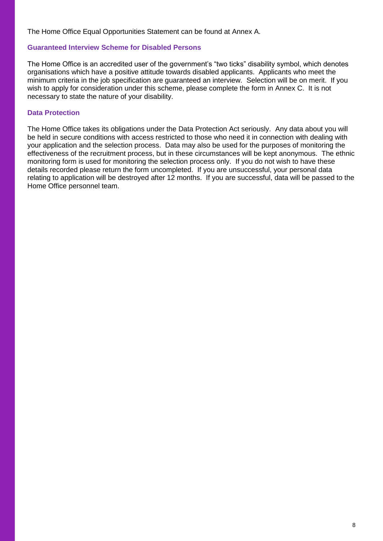The Home Office Equal Opportunities Statement can be found at Annex A.

#### **Guaranteed Interview Scheme for Disabled Persons**

The Home Office is an accredited user of the government's "two ticks" disability symbol, which denotes organisations which have a positive attitude towards disabled applicants. Applicants who meet the minimum criteria in the job specification are guaranteed an interview. Selection will be on merit. If you wish to apply for consideration under this scheme, please complete the form in Annex C. It is not necessary to state the nature of your disability.

#### **Data Protection**

The Home Office takes its obligations under the Data Protection Act seriously. Any data about you will be held in secure conditions with access restricted to those who need it in connection with dealing with your application and the selection process. Data may also be used for the purposes of monitoring the effectiveness of the recruitment process, but in these circumstances will be kept anonymous. The ethnic monitoring form is used for monitoring the selection process only. If you do not wish to have these details recorded please return the form uncompleted. If you are unsuccessful, your personal data relating to application will be destroyed after 12 months. If you are successful, data will be passed to the Home Office personnel team.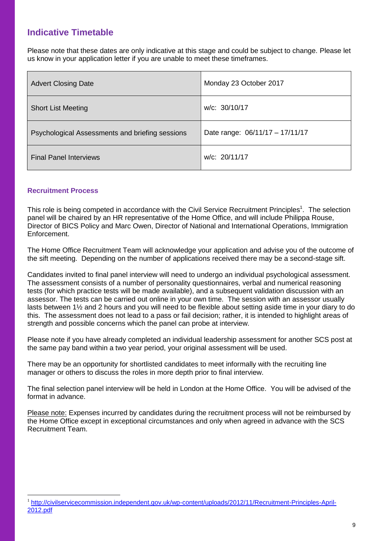## **Indicative Timetable**

Please note that these dates are only indicative at this stage and could be subject to change. Please let us know in your application letter if you are unable to meet these timeframes.

| <b>Advert Closing Date</b>                      | Monday 23 October 2017          |
|-------------------------------------------------|---------------------------------|
| <b>Short List Meeting</b>                       | w/c: 30/10/17                   |
| Psychological Assessments and briefing sessions | Date range: 06/11/17 - 17/11/17 |
| <b>Final Panel Interviews</b>                   | w/c: 20/11/17                   |

#### **Recruitment Process**

 $\overline{a}$ 

This role is being competed in accordance with the Civil Service Recruitment Principles<sup>1</sup>. The selection panel will be chaired by an HR representative of the Home Office, and will include Philippa Rouse, Director of BICS Policy and Marc Owen, Director of National and International Operations, Immigration Enforcement.

The Home Office Recruitment Team will acknowledge your application and advise you of the outcome of the sift meeting. Depending on the number of applications received there may be a second-stage sift.

Candidates invited to final panel interview will need to undergo an individual psychological assessment. The assessment consists of a number of personality questionnaires, verbal and numerical reasoning tests (for which practice tests will be made available), and a subsequent validation discussion with an assessor. The tests can be carried out online in your own time. The session with an assessor usually lasts between 1½ and 2 hours and you will need to be flexible about setting aside time in your diary to do this. The assessment does not lead to a pass or fail decision; rather, it is intended to highlight areas of strength and possible concerns which the panel can probe at interview.

Please note if you have already completed an individual leadership assessment for another SCS post at the same pay band within a two year period, your original assessment will be used.

There may be an opportunity for shortlisted candidates to meet informally with the recruiting line manager or others to discuss the roles in more depth prior to final interview.

The final selection panel interview will be held in London at the Home Office. You will be advised of the format in advance.

Please note: Expenses incurred by candidates during the recruitment process will not be reimbursed by the Home Office except in exceptional circumstances and only when agreed in advance with the SCS Recruitment Team.

<sup>&</sup>lt;sup>1</sup> [http://civilservicecommission.independent.gov.uk/wp-content/uploads/2012/11/Recruitment-Principles-April-](http://civilservicecommission.independent.gov.uk/wp-content/uploads/2012/11/Recruitment-Principles-April-2012.pdf)[2012.pdf](http://civilservicecommission.independent.gov.uk/wp-content/uploads/2012/11/Recruitment-Principles-April-2012.pdf)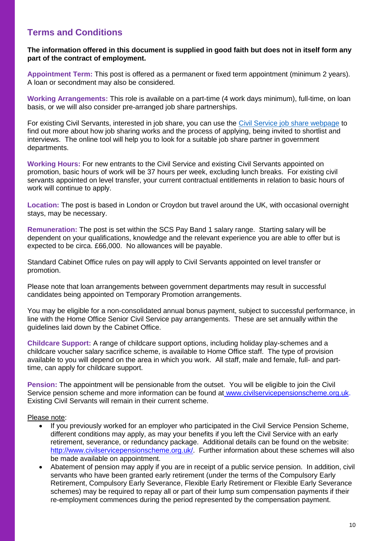## **Terms and Conditions**

#### **The information offered in this document is supplied in good faith but does not in itself form any part of the contract of employment.**

**Appointment Term:** This post is offered as a permanent or fixed term appointment (minimum 2 years). A loan or secondment may also be considered.

**Working Arrangements:** This role is available on a part-time (4 work days minimum), full-time, on loan basis, or we will also consider pre-arranged job share partnerships.

For existing Civil Servants, interested in job share, you can use the [Civil Service job share webpage](https://civilservice.blog.gov.uk/job-share/) to find out more about how job sharing works and the process of applying, being invited to shortlist and interviews. The online tool will help you to look for a suitable job share partner in government departments.

**Working Hours:** For new entrants to the Civil Service and existing Civil Servants appointed on promotion, basic hours of work will be 37 hours per week, excluding lunch breaks. For existing civil servants appointed on level transfer, your current contractual entitlements in relation to basic hours of work will continue to apply.

**Location:** The post is based in London or Croydon but travel around the UK, with occasional overnight stays, may be necessary.

**Remuneration:** The post is set within the SCS Pay Band 1 salary range. Starting salary will be dependent on your qualifications, knowledge and the relevant experience you are able to offer but is expected to be circa. £66,000. No allowances will be payable.

Standard Cabinet Office rules on pay will apply to Civil Servants appointed on level transfer or promotion.

Please note that loan arrangements between government departments may result in successful candidates being appointed on Temporary Promotion arrangements.

You may be eligible for a non-consolidated annual bonus payment, subject to successful performance, in line with the Home Office Senior Civil Service pay arrangements. These are set annually within the guidelines laid down by the Cabinet Office.

**Childcare Support:** A range of childcare support options, including holiday play-schemes and a childcare voucher salary sacrifice scheme, is available to Home Office staff. The type of provision available to you will depend on the area in which you work. All staff, male and female, full- and parttime, can apply for childcare support.

**Pension:** The appointment will be pensionable from the outset. You will be eligible to join the Civil Service pension scheme and more information can be found at [www.civilservicepensionscheme.org.uk.](http://www.civilservicepensionscheme.org.uk/) Existing Civil Servants will remain in their current scheme.

#### Please note:

- If you previously worked for an employer who participated in the Civil Service Pension Scheme, different conditions may apply, as may your benefits if you left the Civil Service with an early retirement, severance, or redundancy package. Additional details can be found on the website: [http://www.civilservicepensionscheme.org.uk/.](http://www.civilservicepensionscheme.org.uk/) Further information about these schemes will also be made available on appointment.
- Abatement of pension may apply if you are in receipt of a public service pension. In addition, civil servants who have been granted early retirement (under the terms of the Compulsory Early Retirement, Compulsory Early Severance, Flexible Early Retirement or Flexible Early Severance schemes) may be required to repay all or part of their lump sum compensation payments if their re-employment commences during the period represented by the compensation payment.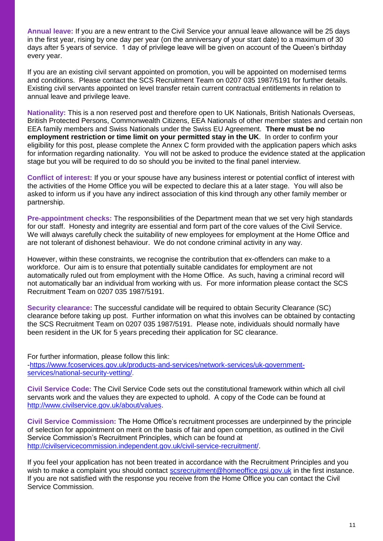**Annual leave:** If you are a new entrant to the Civil Service your annual leave allowance will be 25 days in the first year, rising by one day per year (on the anniversary of your start date) to a maximum of 30 days after 5 years of service. 1 day of privilege leave will be given on account of the Queen's birthday every year.

If you are an existing civil servant appointed on promotion, you will be appointed on modernised terms and conditions. Please contact the SCS Recruitment Team on 0207 035 1987/5191 for further details. Existing civil servants appointed on level transfer retain current contractual entitlements in relation to annual leave and privilege leave.

**Nationality:** This is a non reserved post and therefore open to UK Nationals, British Nationals Overseas, British Protected Persons, Commonwealth Citizens, EEA Nationals of other member states and certain non EEA family members and Swiss Nationals under the Swiss EU Agreement. **There must be no employment restriction or time limit on your permitted stay in the UK**. In order to confirm your eligibility for this post, please complete the Annex C form provided with the application papers which asks for information regarding nationality. You will not be asked to produce the evidence stated at the application stage but you will be required to do so should you be invited to the final panel interview.

**Conflict of interest:** If you or your spouse have any business interest or potential conflict of interest with the activities of the Home Office you will be expected to declare this at a later stage. You will also be asked to inform us if you have any indirect association of this kind through any other family member or partnership.

**Pre-appointment checks:** The responsibilities of the Department mean that we set very high standards for our staff. Honesty and integrity are essential and form part of the core values of the Civil Service. We will always carefully check the suitability of new employees for employment at the Home Office and are not tolerant of dishonest behaviour. We do not condone criminal activity in any way.

However, within these constraints, we recognise the contribution that ex-offenders can make to a workforce. Our aim is to ensure that potentially suitable candidates for employment are not automatically ruled out from employment with the Home Office. As such, having a criminal record will not automatically bar an individual from working with us. For more information please contact the SCS Recruitment Team on 0207 035 1987/5191.

**Security clearance:** The successful candidate will be required to obtain Security Clearance (SC) clearance before taking up post. Further information on what this involves can be obtained by contacting the SCS Recruitment Team on 0207 035 1987/5191. Please note, individuals should normally have been resident in the UK for 5 years preceding their application for SC clearance.

For further information, please follow this link: [-https://www.fcoservices.gov.uk/products-and-services/network-services/uk-government](https://www.fcoservices.gov.uk/products-and-services/network-services/uk-government-services/national-security-vetting/)[services/national-security-vetting/.](https://www.fcoservices.gov.uk/products-and-services/network-services/uk-government-services/national-security-vetting/)

**Civil Service Code:** The Civil Service Code sets out the constitutional framework within which all civil servants work and the values they are expected to uphold. A copy of the Code can be found at [http://www.civilservice.gov.uk/about/values.](http://www.civilservice.gov.uk/about/values)

**Civil Service Commission:** The Home Office's recruitment processes are underpinned by the principle of selection for appointment on merit on the basis of fair and open competition, as outlined in the Civil Service Commission's Recruitment Principles, which can be found at [http://civilservicecommission.independent.gov.uk/civil-service-recruitment/.](http://civilservicecommission.independent.gov.uk/civil-service-recruitment/)

If you feel your application has not been treated in accordance with the Recruitment Principles and you wish to make a complaint you should contact [scsrecruitment@homeoffice.gsi.gov.uk](mailto:scsrecruitment@homeoffice.gsi.gov.uk) in the first instance. If you are not satisfied with the response you receive from the Home Office you can contact the Civil Service Commission.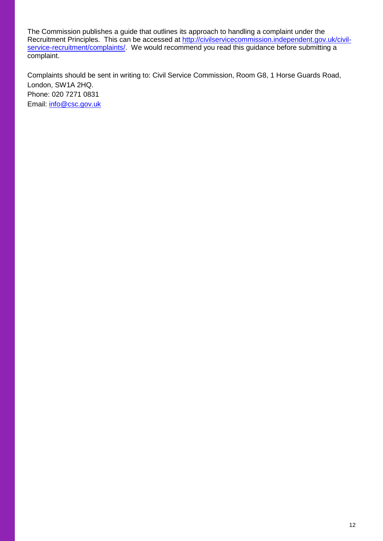The Commission publishes a guide that outlines its approach to handling a complaint under the Recruitment Principles. This can be accessed at [http://civilservicecommission.independent.gov.uk/civil](http://civilservicecommission.independent.gov.uk/civil-service-recruitment/complaints/)[service-recruitment/complaints/.](http://civilservicecommission.independent.gov.uk/civil-service-recruitment/complaints/) We would recommend you read this guidance before submitting a complaint.

Complaints should be sent in writing to: Civil Service Commission, Room G8, 1 Horse Guards Road, London, SW1A 2HQ. Phone: 020 7271 0831 Email: [info@csc.gov.uk](mailto:info@csc.gov.uk)